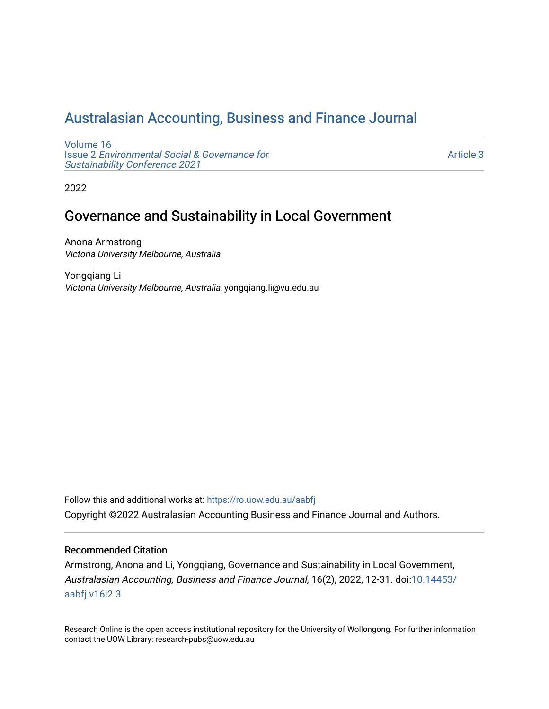# [Australasian Accounting, Business and Finance Journal](https://ro.uow.edu.au/aabfj)

[Volume 16](https://ro.uow.edu.au/aabfj/vol16) Issue 2 [Environmental Social & Governance for](https://ro.uow.edu.au/aabfj/vol16/iss2)  [Sustainability Conference 2021](https://ro.uow.edu.au/aabfj/vol16/iss2) 

[Article 3](https://ro.uow.edu.au/aabfj/vol16/iss2/3) 

2022

# Governance and Sustainability in Local Government

Anona Armstrong Victoria University Melbourne, Australia

Yongqiang Li Victoria University Melbourne, Australia, yongqiang.li@vu.edu.au

Follow this and additional works at: [https://ro.uow.edu.au/aabfj](https://ro.uow.edu.au/aabfj?utm_source=ro.uow.edu.au%2Faabfj%2Fvol16%2Fiss2%2F3&utm_medium=PDF&utm_campaign=PDFCoverPages) Copyright ©2022 Australasian Accounting Business and Finance Journal and Authors.

#### Recommended Citation

Armstrong, Anona and Li, Yongqiang, Governance and Sustainability in Local Government, Australasian Accounting, Business and Finance Journal, 16(2), 2022, 12-31. doi[:10.14453/](http://dx.doi.org/10.14453/aabfj.v16i2.3) [aabfj.v16i2.3](http://dx.doi.org/10.14453/aabfj.v16i2.3)

Research Online is the open access institutional repository for the University of Wollongong. For further information contact the UOW Library: research-pubs@uow.edu.au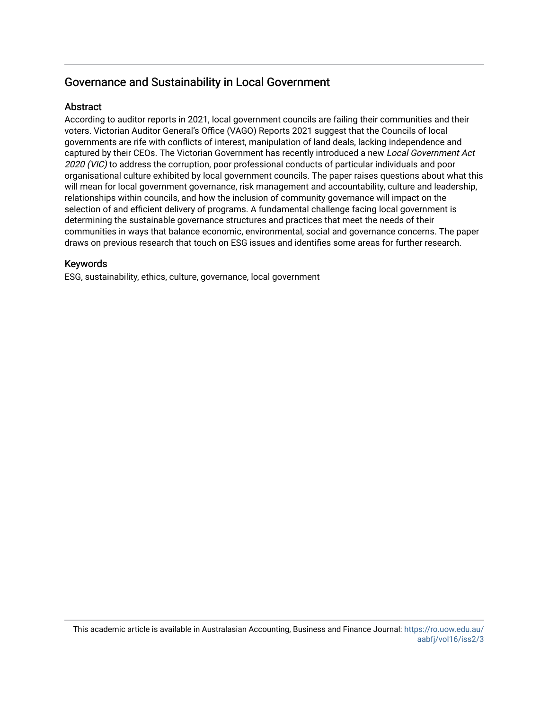## Governance and Sustainability in Local Government

## **Abstract**

According to auditor reports in 2021, local government councils are failing their communities and their voters. Victorian Auditor General's Office (VAGO) Reports 2021 suggest that the Councils of local governments are rife with conflicts of interest, manipulation of land deals, lacking independence and captured by their CEOs. The Victorian Government has recently introduced a new Local Government Act 2020 (VIC) to address the corruption, poor professional conducts of particular individuals and poor organisational culture exhibited by local government councils. The paper raises questions about what this will mean for local government governance, risk management and accountability, culture and leadership, relationships within councils, and how the inclusion of community governance will impact on the selection of and efficient delivery of programs. A fundamental challenge facing local government is determining the sustainable governance structures and practices that meet the needs of their communities in ways that balance economic, environmental, social and governance concerns. The paper draws on previous research that touch on ESG issues and identifies some areas for further research.

## Keywords

ESG, sustainability, ethics, culture, governance, local government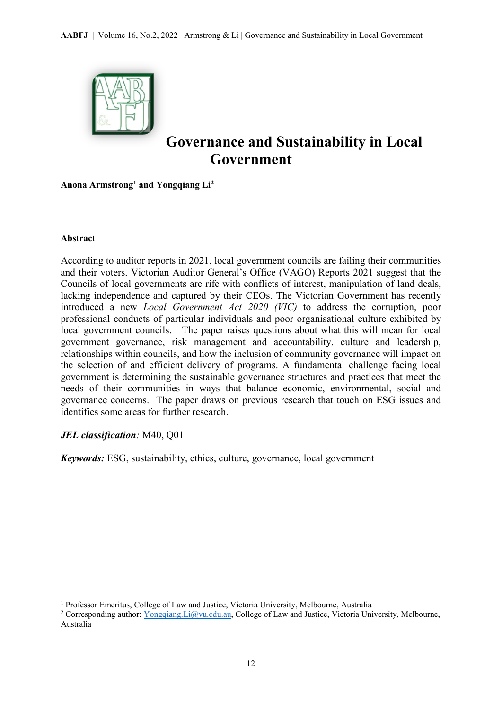

# **Governance and Sustainability in Local Government**

**Anona Armstron[g1](#page-2-0) and Yongqiang Li[2](#page-2-1)**

#### **Abstract**

1

According to auditor reports in 2021, local government councils are failing their communities and their voters. Victorian Auditor General's Office (VAGO) Reports 2021 suggest that the Councils of local governments are rife with conflicts of interest, manipulation of land deals, lacking independence and captured by their CEOs. The Victorian Government has recently introduced a new *Local Government Act 2020 (VIC)* to address the corruption, poor professional conducts of particular individuals and poor organisational culture exhibited by local government councils. The paper raises questions about what this will mean for local government governance, risk management and accountability, culture and leadership, relationships within councils, and how the inclusion of community governance will impact on the selection of and efficient delivery of programs. A fundamental challenge facing local government is determining the sustainable governance structures and practices that meet the needs of their communities in ways that balance economic, environmental, social and governance concerns. The paper draws on previous research that touch on ESG issues and identifies some areas for further research.

## *JEL classification:* M40, Q01

*Keywords:* ESG, sustainability, ethics, culture, governance, local government

<span id="page-2-0"></span><sup>1</sup> Professor Emeritus, College of Law and Justice, Victoria University, Melbourne, Australia

<span id="page-2-1"></span><sup>&</sup>lt;sup>2</sup> Corresponding author: *Yongqiang.Li@vu.edu.au*, College of Law and Justice, Victoria University, Melbourne, Australia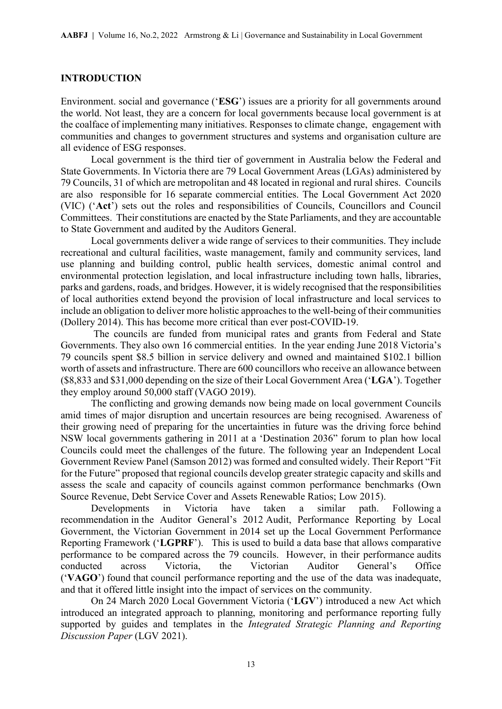#### **INTRODUCTION**

Environment. social and governance ('**ESG**') issues are a priority for all governments around the world. Not least, they are a concern for local governments because local government is at the coalface of implementing many initiatives. Responses to climate change, engagement with communities and changes to government structures and systems and organisation culture are all evidence of ESG responses.

Local government is the third tier of government in Australia below the Federal and State Governments. In Victoria there are 79 Local Government Areas (LGAs) administered by 79 Councils, 31 of which are metropolitan and 48 located in regional and rural shires. Councils are also responsible for 16 separate commercial entities. The Local Government Act 2020 (VIC) ('**Act**') sets out the roles and responsibilities of Councils, Councillors and Council Committees. Their constitutions are enacted by the State Parliaments, and they are accountable to State Government and audited by the Auditors General.

Local governments deliver a wide range of services to their communities. They include recreational and cultural facilities, waste management, family and community services, land use planning and building control, public health services, domestic animal control and environmental protection legislation, and local infrastructure including town halls, libraries, parks and gardens, roads, and bridges. However, it is widely recognised that the responsibilities of local authorities extend beyond the provision of local infrastructure and local services to include an obligation to deliver more holistic approaches to the well-being of their communities (Dollery 2014). This has become more critical than ever post-COVID-19.

 The councils are funded from municipal rates and grants from Federal and State Governments. They also own 16 commercial entities. In the year ending June 2018 Victoria's 79 councils spent \$8.5 billion in service delivery and owned and maintained \$102.1 billion worth of assets and infrastructure. There are 600 councillors who receive an allowance between (\$8,833 and \$31,000 depending on the size of their Local Government Area ('**LGA**'). Together they employ around 50,000 staff (VAGO 2019).

The conflicting and growing demands now being made on local government Councils amid times of major disruption and uncertain resources are being recognised. Awareness of their growing need of preparing for the uncertainties in future was the driving force behind NSW local governments gathering in 2011 at a 'Destination 2036" forum to plan how local Councils could meet the challenges of the future. The following year an Independent Local Government Review Panel (Samson 2012) was formed and consulted widely. Their Report "Fit for the Future" proposed that regional councils develop greater strategic capacity and skills and assess the scale and capacity of councils against common performance benchmarks (Own Source Revenue, Debt Service Cover and Assets Renewable Ratios; Low 2015).

Developments in Victoria have taken a similar path. Following a recommendation in the Auditor General's 2012 Audit, Performance Reporting by Local Government, the Victorian Government in 2014 set up the Local Government Performance Reporting Framework ('**LGPRF**'). This is used to build a data base that allows comparative performance to be compared across the 79 councils. However, in their performance audits conducted across Victoria, the Victorian Auditor General's Office ('**VAGO**') found that council performance reporting and the use of the data was inadequate, and that it offered little insight into the impact of services on the community.

On 24 March 2020 Local Government Victoria ('**LGV**') introduced a new Act which introduced an integrated approach to planning, monitoring and performance reporting fully supported by guides and templates in the *Integrated Strategic Planning and Reporting Discussion Paper* (LGV 2021).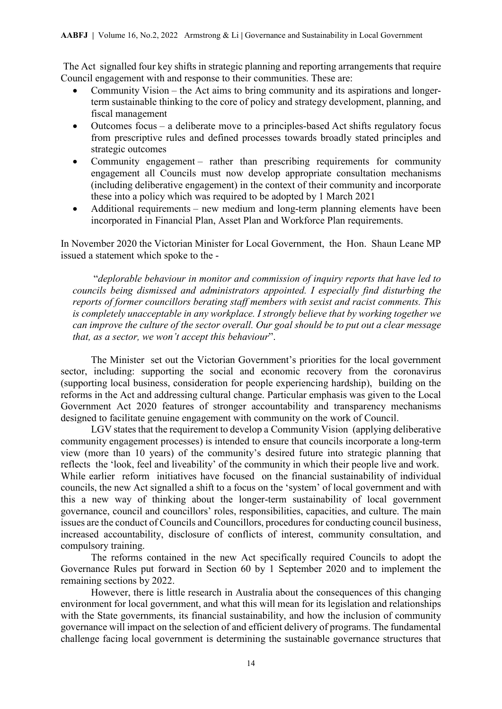The Act signalled four key shifts in strategic planning and reporting arrangements that require Council engagement with and response to their communities. These are:

- Community Vision the Act aims to bring community and its aspirations and longerterm sustainable thinking to the core of policy and strategy development, planning, and fiscal management
- Outcomes focus a deliberate move to a principles-based Act shifts regulatory focus from prescriptive rules and defined processes towards broadly stated principles and strategic outcomes
- Community engagement rather than prescribing requirements for community engagement all Councils must now develop appropriate consultation mechanisms (including deliberative engagement) in the context of their community and incorporate these into a policy which was required to be adopted by 1 March 2021
- Additional requirements new medium and long-term planning elements have been incorporated in Financial Plan, Asset Plan and Workforce Plan requirements.

In November 2020 the Victorian Minister for Local Government, the Hon. Shaun Leane MP issued a statement which spoke to the -

 "*deplorable behaviour in monitor and commission of inquiry reports that have led to councils being dismissed and administrators appointed. I especially find disturbing the reports of former councillors berating staff members with sexist and racist comments. This is completely unacceptable in any workplace. I strongly believe that by working together we can improve the culture of the sector overall. Our goal should be to put out a clear message that, as a sector, we won't accept this behaviour*".

The Minister set out the Victorian Government's priorities for the local government sector, including: supporting the social and economic recovery from the coronavirus (supporting local business, consideration for people experiencing hardship), building on the reforms in the Act and addressing cultural change. Particular emphasis was given to the Local Government Act 2020 features of stronger accountability and transparency mechanisms designed to facilitate genuine engagement with community on the work of Council.

LGV states that the requirement to develop a Community Vision (applying deliberative community engagement processes) is intended to ensure that councils incorporate a long-term view (more than 10 years) of the community's desired future into strategic planning that reflects the 'look, feel and liveability' of the community in which their people live and work. While earlier reform initiatives have focused on the financial sustainability of individual councils, the new Act signalled a shift to a focus on the 'system' of local government and with this a new way of thinking about the longer-term sustainability of local government governance, council and councillors' roles, responsibilities, capacities, and culture. The main issues are the conduct of Councils and Councillors, procedures for conducting council business, increased accountability, disclosure of conflicts of interest, community consultation, and compulsory training.

The reforms contained in the new Act specifically required Councils to adopt the Governance Rules put forward in Section 60 by 1 September 2020 and to implement the remaining sections by 2022.

However, there is little research in Australia about the consequences of this changing environment for local government, and what this will mean for its legislation and relationships with the State governments, its financial sustainability, and how the inclusion of community governance will impact on the selection of and efficient delivery of programs. The fundamental challenge facing local government is determining the sustainable governance structures that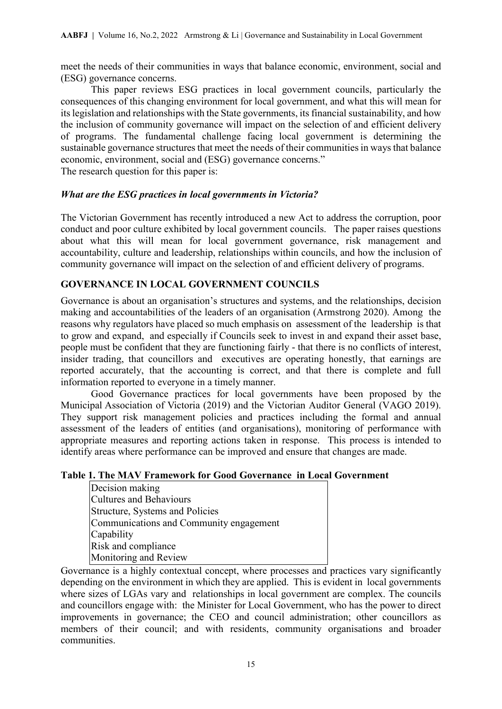meet the needs of their communities in ways that balance economic, environment, social and (ESG) governance concerns.

This paper reviews ESG practices in local government councils, particularly the consequences of this changing environment for local government, and what this will mean for its legislation and relationships with the State governments, its financial sustainability, and how the inclusion of community governance will impact on the selection of and efficient delivery of programs. The fundamental challenge facing local government is determining the sustainable governance structures that meet the needs of their communities in ways that balance economic, environment, social and (ESG) governance concerns."

The research question for this paper is:

## *What are the ESG practices in local governments in Victoria?*

The Victorian Government has recently introduced a new Act to address the corruption, poor conduct and poor culture exhibited by local government councils. The paper raises questions about what this will mean for local government governance, risk management and accountability, culture and leadership, relationships within councils, and how the inclusion of community governance will impact on the selection of and efficient delivery of programs.

## **GOVERNANCE IN LOCAL GOVERNMENT COUNCILS**

Governance is about an organisation's structures and systems, and the relationships, decision making and accountabilities of the leaders of an organisation (Armstrong 2020). Among the reasons why regulators have placed so much emphasis on assessment of the leadership is that to grow and expand, and especially if Councils seek to invest in and expand their asset base, people must be confident that they are functioning fairly - that there is no conflicts of interest, insider trading, that councillors and executives are operating honestly, that earnings are reported accurately, that the accounting is correct, and that there is complete and full information reported to everyone in a timely manner.

Good Governance practices for local governments have been proposed by the Municipal Association of Victoria (2019) and the Victorian Auditor General (VAGO 2019). They support risk management policies and practices including the formal and annual assessment of the leaders of entities (and organisations), monitoring of performance with appropriate measures and reporting actions taken in response. This process is intended to identify areas where performance can be improved and ensure that changes are made.

## **Table 1. The MAV Framework for Good Governance in Local Government**

| Decision making                         |
|-----------------------------------------|
| <b>Cultures and Behaviours</b>          |
| Structure, Systems and Policies         |
| Communications and Community engagement |
| Capability                              |
| Risk and compliance                     |
| Monitoring and Review                   |

Governance is a highly contextual concept, where processes and practices vary significantly depending on the environment in which they are applied. This is evident in local governments where sizes of LGAs vary and relationships in local government are complex. The councils and councillors engage with: the Minister for Local Government, who has the power to direct improvements in governance; the CEO and council administration; other councillors as members of their council; and with residents, community organisations and broader communities.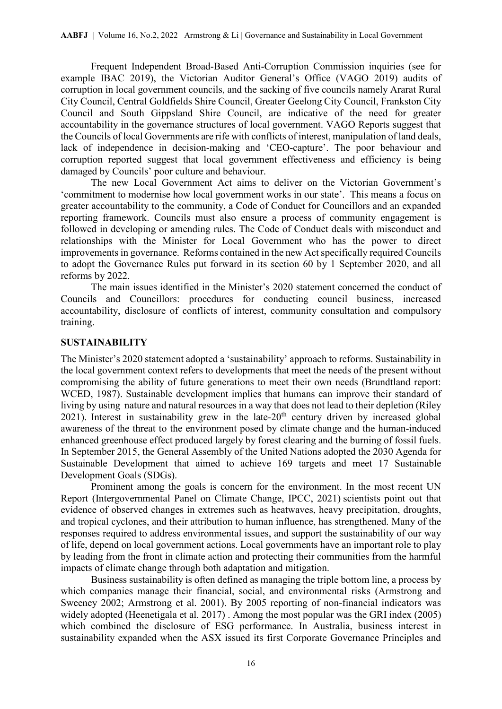Frequent Independent Broad-Based Anti-Corruption Commission inquiries (see for example IBAC 2019), the Victorian Auditor General's Office (VAGO 2019) audits of corruption in local government councils, and the sacking of five councils namely Ararat Rural City Council, Central Goldfields Shire Council, Greater Geelong City Council, Frankston City Council and South Gippsland Shire Council, are indicative of the need for greater accountability in the governance structures of local government. VAGO Reports suggest that the Councils of local Governments are rife with conflicts of interest, manipulation of land deals, lack of independence in decision-making and 'CEO-capture'. The poor behaviour and corruption reported suggest that local government effectiveness and efficiency is being damaged by Councils' poor culture and behaviour.

The new Local Government Act aims to deliver on the Victorian Government's 'commitment to modernise how local government works in our state'. This means a focus on greater accountability to the community, a Code of Conduct for Councillors and an expanded reporting framework. Councils must also ensure a process of community engagement is followed in developing or amending rules. The Code of Conduct deals with misconduct and relationships with the Minister for Local Government who has the power to direct improvements in governance. Reforms contained in the new Act specifically required Councils to adopt the Governance Rules put forward in its section 60 by 1 September 2020, and all reforms by 2022.

The main issues identified in the Minister's 2020 statement concerned the conduct of Councils and Councillors: procedures for conducting council business, increased accountability, disclosure of conflicts of interest, community consultation and compulsory training.

#### **SUSTAINABILITY**

The Minister's 2020 statement adopted a 'sustainability' approach to reforms. Sustainability in the local government context refers to developments that meet the needs of the present without compromising the ability of future generations to meet their own needs (Brundtland report: WCED, 1987). Sustainable development implies that humans can improve their standard of living by using nature and natural resources in a way that does not lead to their depletion (Riley 2021). Interest in sustainability grew in the late- $20<sup>th</sup>$  century driven by increased global awareness of the threat to the environment posed by climate change and the human-induced enhanced greenhouse effect produced largely by forest clearing and the burning of fossil fuels. In September 2015, the General Assembly of the United Nations adopted the 2030 Agenda for Sustainable Development that aimed to achieve 169 targets and meet 17 Sustainable Development Goals (SDGs).

Prominent among the goals is concern for the environment. In the most recent UN Report (Intergovernmental Panel on Climate Change, IPCC, 2021) scientists point out that evidence of observed changes in extremes such as heatwaves, heavy precipitation, droughts, and tropical cyclones, and their attribution to human influence, has strengthened. Many of the responses required to address environmental issues, and support the sustainability of our way of life, depend on local government actions. Local governments have an important role to play by leading from the front in climate action and protecting their communities from the harmful impacts of climate change through both adaptation and mitigation.

Business sustainability is often defined as managing the triple bottom line, a process by which companies manage their financial, social, and environmental risks (Armstrong and Sweeney 2002; Armstrong et al. 2001). By 2005 reporting of non-financial indicators was widely adopted (Heenetigala et al. 2017) . Among the most popular was the GRI index (2005) which combined the disclosure of ESG performance. In Australia, business interest in sustainability expanded when the ASX issued its first Corporate Governance Principles and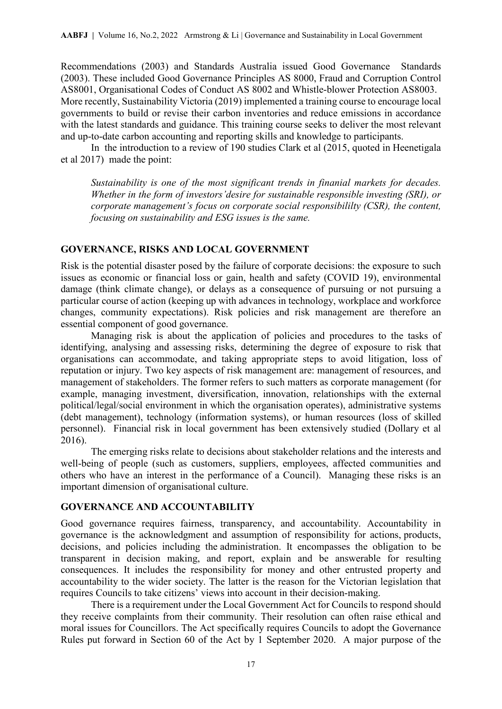Recommendations (2003) and Standards Australia issued Good Governance Standards (2003). These included Good Governance Principles AS 8000, Fraud and Corruption Control AS8001, Organisational Codes of Conduct AS 8002 and Whistle-blower Protection AS8003. More recently, Sustainability Victoria (2019) implemented a training course to encourage local governments to build or revise their carbon inventories and reduce emissions in accordance with the latest standards and guidance. This training course seeks to deliver the most relevant and up-to-date carbon accounting and reporting skills and knowledge to participants.

 In the introduction to a review of 190 studies Clark et al (2015, quoted in Heenetigala et al 2017) made the point:

*Sustainability is one of the most significant trends in finanial markets for decades. Whether in the form of investors'desire for sustainable responsible investing (SRI), or corporate management's focus on corporate social responsibililty (CSR), the content, focusing on sustainability and ESG issues is the same.* 

## **GOVERNANCE, RISKS AND LOCAL GOVERNMENT**

Risk is the potential disaster posed by the failure of corporate decisions: the exposure to such issues as economic or financial loss or gain, health and safety (COVID 19), environmental damage (think climate change), or delays as a consequence of pursuing or not pursuing a particular course of action (keeping up with advances in technology, workplace and workforce changes, community expectations). Risk policies and risk management are therefore an essential component of good governance.

 Managing risk is about the application of policies and procedures to the tasks of identifying, analysing and assessing risks, determining the degree of exposure to risk that organisations can accommodate, and taking appropriate steps to avoid litigation, loss of reputation or injury. Two key aspects of risk management are: management of resources, and management of stakeholders. The former refers to such matters as corporate management (for example, managing investment, diversification, innovation, relationships with the external political/legal/social environment in which the organisation operates), administrative systems (debt management), technology (information systems), or human resources (loss of skilled personnel). Financial risk in local government has been extensively studied (Dollary et al 2016).

The emerging risks relate to decisions about stakeholder relations and the interests and well-being of people (such as customers, suppliers, employees, affected communities and others who have an interest in the performance of a Council). Managing these risks is an important dimension of organisational culture.

## **GOVERNANCE AND ACCOUNTABILITY**

Good governance requires fairness, transparency, and accountability. Accountability in governance is the acknowledgment and assumption of responsibility for actions, [products,](https://en.wikipedia.org/wiki/Product_(business)) decisions, and policies including the [administration.](https://en.wikipedia.org/wiki/Administration_(business)) It encompasses the obligation to be transparent in decision making, and report, explain and be answerable for resulting consequences. It includes the responsibility for money and other entrusted property and accountability to the wider society. The latter is the reason for the Victorian legislation that requires Councils to take citizens' views into account in their decision-making.

There is a requirement under the Local Government Act for Councils to respond should they receive complaints from their community. Their resolution can often raise ethical and moral issues for Councillors. The Act specifically requires Councils to adopt the Governance Rules put forward in Section 60 of the Act by 1 September 2020. A major purpose of the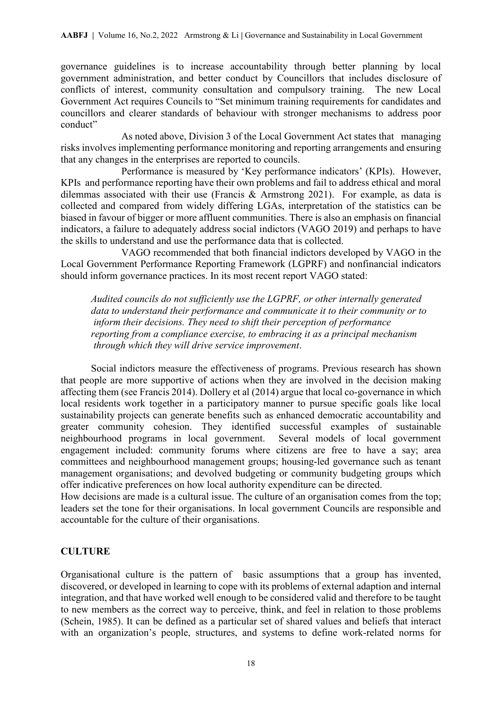governance guidelines is to increase accountability through better planning by local government administration, and better conduct by Councillors that includes disclosure of conflicts of interest, community consultation and compulsory training. The new Local Government Act requires Councils to "Set minimum training requirements for candidates and councillors and clearer standards of behaviour with stronger mechanisms to address poor conduct"

 As noted above, Division 3 of the Local Government Act states that managing risks involves implementing performance monitoring and reporting arrangements and ensuring that any changes in the enterprises are reported to councils.

 Performance is measured by 'Key performance indicators' (KPIs). However, KPIs and performance reporting have their own problems and fail to address ethical and moral dilemmas associated with their use (Francis & Armstrong 2021). For example, as data is collected and compared from widely differing LGAs, interpretation of the statistics can be biased in favour of bigger or more affluent communities. There is also an emphasis on financial indicators, a failure to adequately address social indictors (VAGO 2019) and perhaps to have the skills to understand and use the performance data that is collected.

 VAGO recommended that both financial indictors developed by VAGO in the Local Government Performance Reporting Framework (LGPRF) and nonfinancial indicators should inform governance practices. In its most recent report VAGO stated:

*Audited councils do not sufficiently use the LGPRF, or other internally generated data to understand their performance and communicate it to their community or to inform their decisions. They need to shift their perception of performance reporting from a compliance exercise, to embracing it as a principal mechanism through which they will drive service improvement*.

Social indictors measure the effectiveness of programs. Previous research has shown that people are more supportive of actions when they are involved in the decision making affecting them (see Francis 2014). Dollery et al (2014) argue that local co-governance in which local residents work together in a participatory manner to pursue specific goals like local sustainability projects can generate benefits such as enhanced democratic accountability and greater community cohesion. They identified successful examples of sustainable neighbourhood programs in local government. Several models of local government engagement included: community forums where citizens are free to have a say; area committees and neighbourhood management groups; housing-led governance such as tenant management organisations; and devolved budgeting or community budgeting groups which offer indicative preferences on how local authority expenditure can be directed.

How decisions are made is a cultural issue. The culture of an organisation comes from the top; leaders set the tone for their organisations. In local government Councils are responsible and accountable for the culture of their organisations.

## **CULTURE**

Organisational culture is the pattern of basic assumptions that a group has invented, discovered, or developed in learning to cope with its problems of external adaption and internal integration, and that have worked well enough to be considered valid and therefore to be taught to new members as the correct way to perceive, think, and feel in relation to those problems (Schein, 1985). It can be defined as a particular set of shared values and beliefs that interact with an organization's people, structures, and systems to define work-related norms for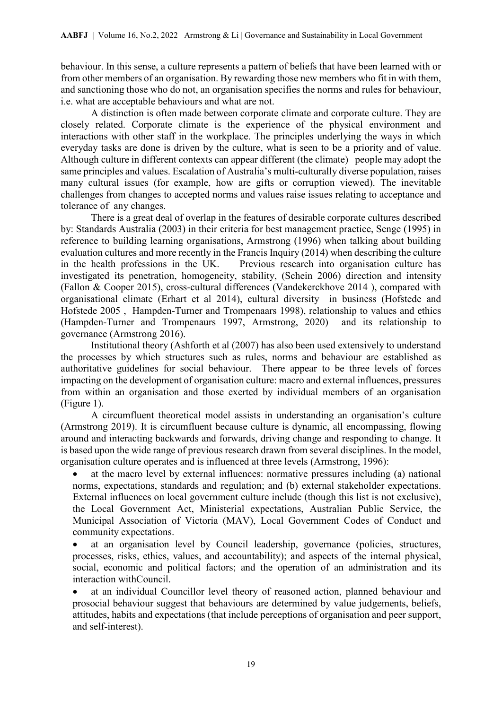behaviour. In this sense, a culture represents a pattern of beliefs that have been learned with or from other members of an organisation. By rewarding those new members who fit in with them, and sanctioning those who do not, an organisation specifies the norms and rules for behaviour, i.e. what are acceptable behaviours and what are not.

A distinction is often made between corporate climate and corporate culture. They are closely related. Corporate climate is the experience of the physical environment and interactions with other staff in the workplace. The principles underlying the ways in which everyday tasks are done is driven by the culture, what is seen to be a priority and of value. Although culture in different contexts can appear different (the climate) people may adopt the same principles and values. Escalation of Australia's multi-culturally diverse population, raises many cultural issues (for example, how are gifts or corruption viewed). The inevitable challenges from changes to accepted norms and values raise issues relating to acceptance and tolerance of any changes.

There is a great deal of overlap in the features of desirable corporate cultures described by: Standards Australia (2003) in their criteria for best management practice, Senge (1995) in reference to building learning organisations, Armstrong (1996) when talking about building evaluation cultures and more recently in the Francis Inquiry (2014) when describing the culture in the health professions in the UK. Previous research into organisation culture has investigated its penetration, homogeneity, stability, (Schein 2006) direction and intensity (Fallon & Cooper 2015), cross-cultural differences (Vandekerckhove 2014 ), compared with organisational climate (Erhart et al 2014), cultural diversity in business (Hofstede and Hofstede 2005 , Hampden-Turner and Trompenaars 1998), relationship to values and ethics (Hampden-Turner and Trompenaurs 1997, Armstrong, 2020) and its relationship to governance (Armstrong 2016).

Institutional theory (Ashforth et al (2007) has also been used extensively to understand the processes by which structures such as rules, norms and behaviour are established as authoritative guidelines for social behaviour. There appear to be three levels of forces impacting on the development of organisation culture: macro and external influences, pressures from within an organisation and those exerted by individual members of an organisation (Figure 1).

A circumfluent theoretical model assists in understanding an organisation's culture (Armstrong 2019). It is circumfluent because culture is dynamic, all encompassing, flowing around and interacting backwards and forwards, driving change and responding to change. It is based upon the wide range of previous research drawn from several disciplines. In the model, organisation culture operates and is influenced at three levels (Armstrong, 1996):

at the macro level by external influences: normative pressures including (a) national norms, expectations, standards and regulation; and (b) external stakeholder expectations. External influences on local government culture include (though this list is not exclusive), the Local Government Act, Ministerial expectations, Australian Public Service, the Municipal Association of Victoria (MAV), Local Government Codes of Conduct and community expectations.

at an organisation level by Council leadership, governance (policies, structures, processes, risks, ethics, values, and accountability); and aspects of the internal physical, social, economic and political factors; and the operation of an administration and its interaction withCouncil.

at an individual Councillor level theory of reasoned action, planned behaviour and prosocial behaviour suggest that behaviours are determined by value judgements, beliefs, attitudes, habits and expectations (that include perceptions of organisation and peer support, and self-interest).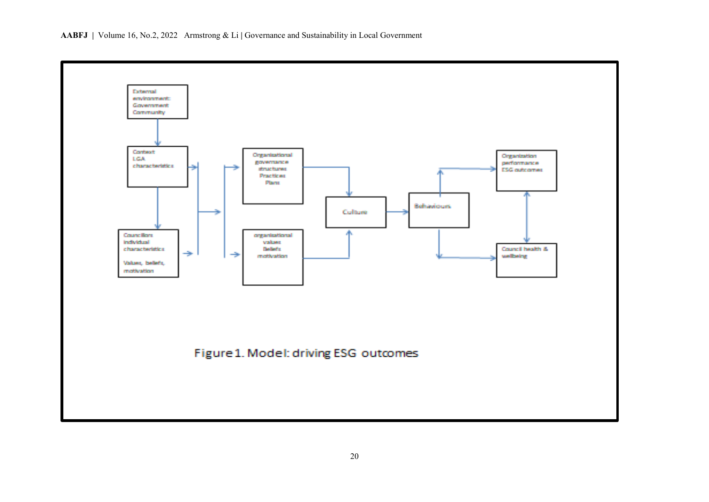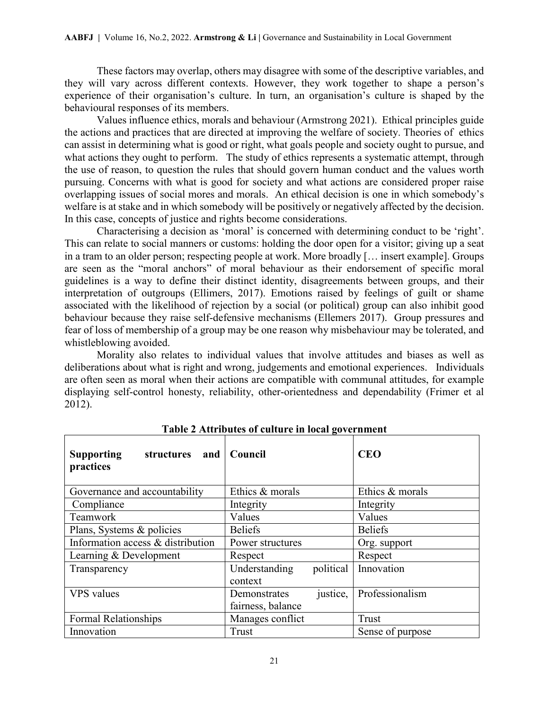These factors may overlap, others may disagree with some of the descriptive variables, and they will vary across different contexts. However, they work together to shape a person's experience of their organisation's culture. In turn, an organisation's culture is shaped by the behavioural responses of its members.

Values influence ethics, morals and behaviour (Armstrong 2021).Ethical principles guide the actions and practices that are directed at improving the welfare of society. Theories of ethics can assist in determining what is good or right, what goals people and society ought to pursue, and what actions they ought to perform. The study of ethics represents a systematic attempt, through the use of reason, to question the rules that should govern human conduct and the values worth pursuing. Concerns with what is good for society and what actions are considered proper raise overlapping issues of social mores and morals. An ethical decision is one in which somebody's welfare is at stake and in which somebody will be positively or negatively affected by the decision. In this case, concepts of justice and rights become considerations.

Characterising a decision as 'moral' is concerned with determining conduct to be 'right'. This can relate to social manners or customs: holding the door open for a visitor; giving up a seat in a tram to an older person; respecting people at work. More broadly [… insert example]. Groups are seen as the "moral anchors" of moral behaviour as their endorsement of specific moral guidelines is a way to define their distinct identity, disagreements between groups, and their interpretation of outgroups (Ellimers, 2017). Emotions raised by feelings of guilt or shame associated with the likelihood of rejection by a social (or political) group can also inhibit good behaviour because they raise self-defensive mechanisms (Ellemers 2017). Group pressures and fear of loss of membership of a group may be one reason why misbehaviour may be tolerated, and whistleblowing avoided.

Morality also relates to individual values that involve attitudes and biases as well as deliberations about what is right and wrong, judgements and emotional experiences. Individuals are often seen as moral when their actions are compatible with communal attitudes, for example displaying self-control honesty, reliability, other-orientedness and dependability (Frimer et al 2012).

| <b>Supporting</b><br>structures<br>and<br>practices | Council                               | <b>CEO</b>               |
|-----------------------------------------------------|---------------------------------------|--------------------------|
| Governance and accountability                       | Ethics & morals                       | Ethics & morals          |
| Compliance                                          | Integrity                             | Integrity                |
| Teamwork                                            | Values                                | Values                   |
| Plans, Systems & policies                           | <b>Beliefs</b>                        | <b>Beliefs</b>           |
| Information access & distribution                   | Power structures                      | Org. support             |
| Learning & Development                              | Respect                               | Respect                  |
| Transparency                                        | political<br>Understanding<br>context | Innovation               |
| <b>VPS</b> values                                   | Demonstrates<br>fairness, balance     | justice, Professionalism |
| Formal Relationships                                | Manages conflict                      | Trust                    |
| Innovation                                          | Trust                                 | Sense of purpose         |

**Table 2 Attributes of culture in local government**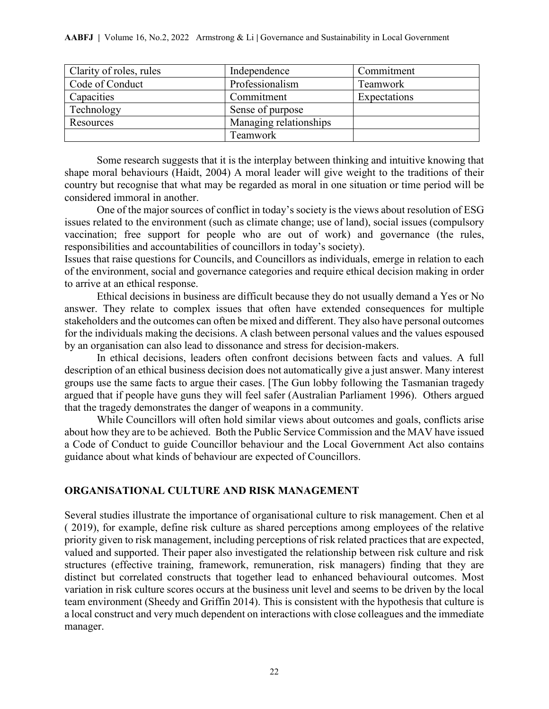| Clarity of roles, rules | Independence           | Commitment   |
|-------------------------|------------------------|--------------|
| Code of Conduct         | Professionalism        | Teamwork     |
| Capacities              | Commitment             | Expectations |
| Technology              | Sense of purpose       |              |
| Resources               | Managing relationships |              |
|                         | Teamwork               |              |

Some research suggests that it is the interplay between thinking and intuitive knowing that shape moral behaviours (Haidt, 2004) A moral leader will give weight to the traditions of their country but recognise that what may be regarded as moral in one situation or time period will be considered immoral in another.

One of the major sources of conflict in today's society is the views about resolution of ESG issues related to the environment (such as climate change; use of land), social issues (compulsory vaccination; free support for people who are out of work) and governance (the rules, responsibilities and accountabilities of councillors in today's society).

Issues that raise questions for Councils, and Councillors as individuals, emerge in relation to each of the environment, social and governance categories and require ethical decision making in order to arrive at an ethical response.

Ethical decisions in business are difficult because they do not usually demand a Yes or No answer. They relate to complex issues that often have extended consequences for multiple stakeholders and the outcomes can often be mixed and different. They also have personal outcomes for the individuals making the decisions. A clash between personal values and the values espoused by an organisation can also lead to dissonance and stress for decision-makers.

In ethical decisions, leaders often confront decisions between facts and values. A full description of an ethical business decision does not automatically give a just answer. Many interest groups use the same facts to argue their cases. [The Gun lobby following the Tasmanian tragedy argued that if people have guns they will feel safer (Australian Parliament 1996). Others argued that the tragedy demonstrates the danger of weapons in a community.

While Councillors will often hold similar views about outcomes and goals, conflicts arise about how they are to be achieved. Both the Public Service Commission and the MAV have issued a Code of Conduct to guide Councillor behaviour and the Local Government Act also contains guidance about what kinds of behaviour are expected of Councillors.

## **ORGANISATIONAL CULTURE AND RISK MANAGEMENT**

Several studies illustrate the importance of organisational culture to risk management. Chen et al ( 2019), for example, define risk culture as shared perceptions among employees of the relative priority given to risk management, including perceptions of risk related practices that are expected, valued and supported. Their paper also investigated the relationship between risk culture and risk structures (effective training, framework, remuneration, risk managers) finding that they are distinct but correlated constructs that together lead to enhanced behavioural outcomes. Most variation in risk culture scores occurs at the business unit level and seems to be driven by the local team environment (Sheedy and Griffin 2014). This is consistent with the hypothesis that culture is a local construct and very much dependent on interactions with close colleagues and the immediate manager.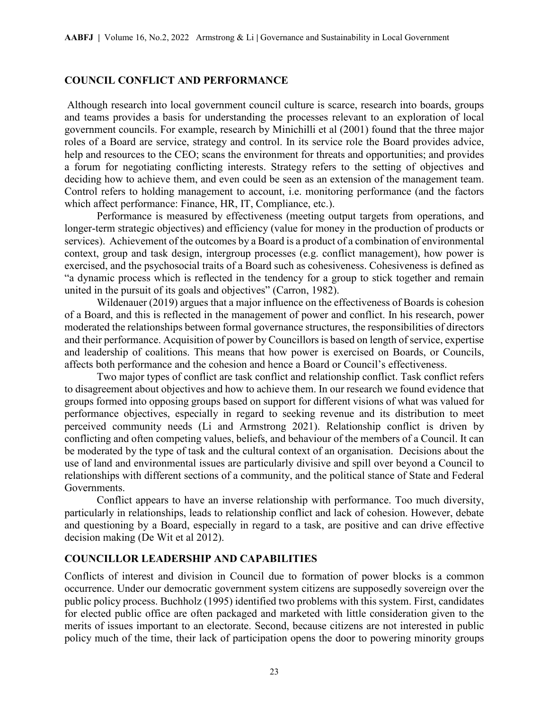### **COUNCIL CONFLICT AND PERFORMANCE**

Although research into local government council culture is scarce, research into boards, groups and teams provides a basis for understanding the processes relevant to an exploration of local government councils. For example, research by Minichilli et al (2001) found that the three major roles of a Board are service, strategy and control. In its service role the Board provides advice, help and resources to the CEO; scans the environment for threats and opportunities; and provides a forum for negotiating conflicting interests. Strategy refers to the setting of objectives and deciding how to achieve them, and even could be seen as an extension of the management team. Control refers to holding management to account, i.e. monitoring performance (and the factors which affect performance: Finance, HR, IT, Compliance, etc.).

Performance is measured by effectiveness (meeting output targets from operations, and longer-term strategic objectives) and efficiency (value for money in the production of products or services). Achievement of the outcomes by a Board is a product of a combination of environmental context, group and task design, intergroup processes (e.g. conflict management), how power is exercised, and the psychosocial traits of a Board such as cohesiveness. Cohesiveness is defined as "a dynamic process which is reflected in the tendency for a group to stick together and remain united in the pursuit of its goals and objectives" (Carron, 1982).

Wildenauer (2019) argues that a major influence on the effectiveness of Boards is cohesion of a Board, and this is reflected in the management of power and conflict. In his research, power moderated the relationships between formal governance structures, the responsibilities of directors and their performance. Acquisition of power by Councillors is based on length of service, expertise and leadership of coalitions. This means that how power is exercised on Boards, or Councils, affects both performance and the cohesion and hence a Board or Council's effectiveness.

Two major types of conflict are task conflict and relationship conflict. Task conflict refers to disagreement about objectives and how to achieve them. In our research we found evidence that groups formed into opposing groups based on support for different visions of what was valued for performance objectives, especially in regard to seeking revenue and its distribution to meet perceived community needs (Li and Armstrong 2021). Relationship conflict is driven by conflicting and often competing values, beliefs, and behaviour of the members of a Council. It can be moderated by the type of task and the cultural context of an organisation. Decisions about the use of land and environmental issues are particularly divisive and spill over beyond a Council to relationships with different sections of a community, and the political stance of State and Federal Governments.

Conflict appears to have an inverse relationship with performance. Too much diversity, particularly in relationships, leads to relationship conflict and lack of cohesion. However, debate and questioning by a Board, especially in regard to a task, are positive and can drive effective decision making (De Wit et al 2012).

## **COUNCILLOR LEADERSHIP AND CAPABILITIES**

Conflicts of interest and division in Council due to formation of power blocks is a common occurrence. Under our democratic government system citizens are supposedly sovereign over the public policy process. Buchholz (1995) identified two problems with this system. First, candidates for elected public office are often packaged and marketed with little consideration given to the merits of issues important to an electorate. Second, because citizens are not interested in public policy much of the time, their lack of participation opens the door to powering minority groups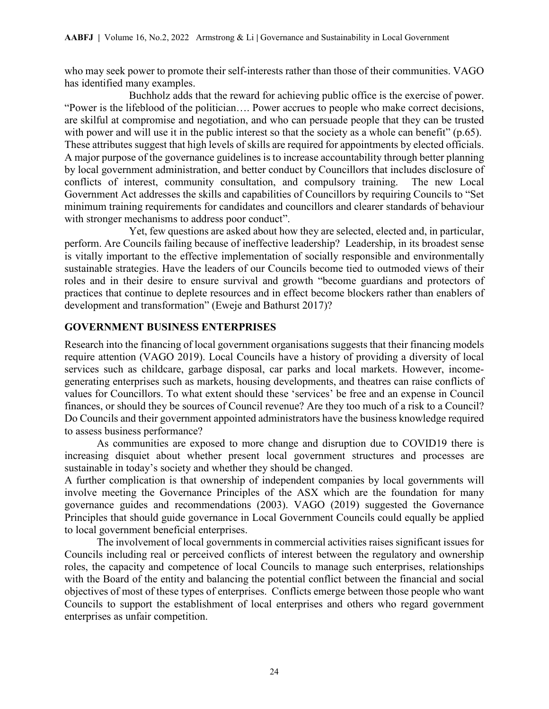who may seek power to promote their self-interests rather than those of their communities. VAGO has identified many examples.

 Buchholz adds that the reward for achieving public office is the exercise of power. "Power is the lifeblood of the politician…. Power accrues to people who make correct decisions, are skilful at compromise and negotiation, and who can persuade people that they can be trusted with power and will use it in the public interest so that the society as a whole can benefit" (p.65). These attributes suggest that high levels of skills are required for appointments by elected officials. A major purpose of the governance guidelines is to increase accountability through better planning by local government administration, and better conduct by Councillors that includes disclosure of conflicts of interest, community consultation, and compulsory training. The new Local Government Act addresses the skills and capabilities of Councillors by requiring Councils to "Set minimum training requirements for candidates and councillors and clearer standards of behaviour with stronger mechanisms to address poor conduct".

 Yet, few questions are asked about how they are selected, elected and, in particular, perform. Are Councils failing because of ineffective leadership? Leadership, in its broadest sense is vitally important to the effective implementation of socially responsible and environmentally sustainable strategies. Have the leaders of our Councils become tied to outmoded views of their roles and in their desire to ensure survival and growth "become guardians and protectors of practices that continue to deplete resources and in effect become blockers rather than enablers of development and transformation" (Eweje and Bathurst 2017)?

## **GOVERNMENT BUSINESS ENTERPRISES**

Research into the financing of local government organisations suggests that their financing models require attention (VAGO 2019). Local Councils have a history of providing a diversity of local services such as childcare, garbage disposal, car parks and local markets. However, incomegenerating enterprises such as markets, housing developments, and theatres can raise conflicts of values for Councillors. To what extent should these 'services' be free and an expense in Council finances, or should they be sources of Council revenue? Are they too much of a risk to a Council? Do Councils and their government appointed administrators have the business knowledge required to assess business performance?

As communities are exposed to more change and disruption due to COVID19 there is increasing disquiet about whether present local government structures and processes are sustainable in today's society and whether they should be changed.

A further complication is that ownership of independent companies by local governments will involve meeting the Governance Principles of the ASX which are the foundation for many governance guides and recommendations (2003). VAGO (2019) suggested the Governance Principles that should guide governance in Local Government Councils could equally be applied to local government beneficial enterprises.

The involvement of local governments in commercial activities raises significant issues for Councils including real or perceived conflicts of interest between the regulatory and ownership roles, the capacity and competence of local Councils to manage such enterprises, relationships with the Board of the entity and balancing the potential conflict between the financial and social objectives of most of these types of enterprises. Conflicts emerge between those people who want Councils to support the establishment of local enterprises and others who regard government enterprises as unfair competition.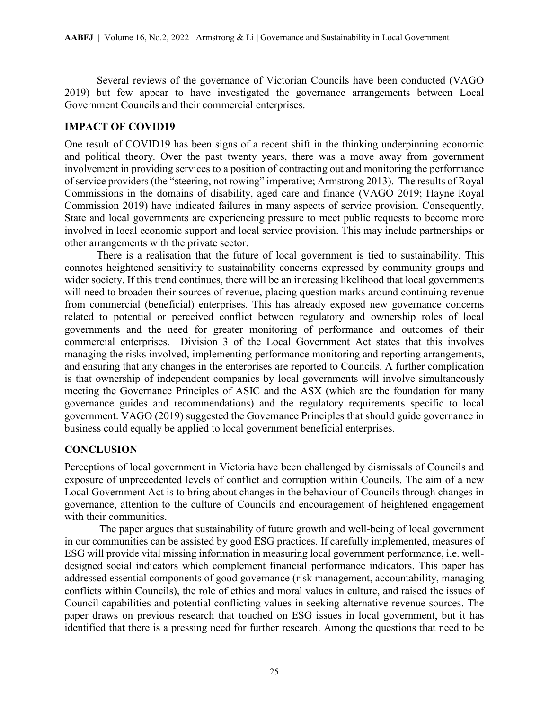Several reviews of the governance of Victorian Councils have been conducted (VAGO 2019) but few appear to have investigated the governance arrangements between Local Government Councils and their commercial enterprises.

## **IMPACT OF COVID19**

One result of COVID19 has been signs of a recent shift in the thinking underpinning economic and political theory. Over the past twenty years, there was a move away from government involvement in providing services to a position of contracting out and monitoring the performance of service providers (the "steering, not rowing" imperative; Armstrong 2013). The results of Royal Commissions in the domains of disability, aged care and finance (VAGO 2019; Hayne Royal Commission 2019) have indicated failures in many aspects of service provision. Consequently, State and local governments are experiencing pressure to meet public requests to become more involved in local economic support and local service provision. This may include partnerships or other arrangements with the private sector.

There is a realisation that the future of local government is tied to sustainability. This connotes heightened sensitivity to sustainability concerns expressed by community groups and wider society. If this trend continues, there will be an increasing likelihood that local governments will need to broaden their sources of revenue, placing question marks around continuing revenue from commercial (beneficial) enterprises. This has already exposed new governance concerns related to potential or perceived conflict between regulatory and ownership roles of local governments and the need for greater monitoring of performance and outcomes of their commercial enterprises. Division 3 of the Local Government Act states that this involves managing the risks involved, implementing performance monitoring and reporting arrangements, and ensuring that any changes in the enterprises are reported to Councils. A further complication is that ownership of independent companies by local governments will involve simultaneously meeting the Governance Principles of ASIC and the ASX (which are the foundation for many governance guides and recommendations) and the regulatory requirements specific to local government. VAGO (2019) suggested the Governance Principles that should guide governance in business could equally be applied to local government beneficial enterprises.

## **CONCLUSION**

Perceptions of local government in Victoria have been challenged by dismissals of Councils and exposure of unprecedented levels of conflict and corruption within Councils. The aim of a new Local Government Act is to bring about changes in the behaviour of Councils through changes in governance, attention to the culture of Councils and encouragement of heightened engagement with their communities.

 The paper argues that sustainability of future growth and well-being of local government in our communities can be assisted by good ESG practices. If carefully implemented, measures of ESG will provide vital missing information in measuring local government performance, i.e. welldesigned social indicators which complement financial performance indicators. This paper has addressed essential components of good governance (risk management, accountability, managing conflicts within Councils), the role of ethics and moral values in culture, and raised the issues of Council capabilities and potential conflicting values in seeking alternative revenue sources. The paper draws on previous research that touched on ESG issues in local government, but it has identified that there is a pressing need for further research. Among the questions that need to be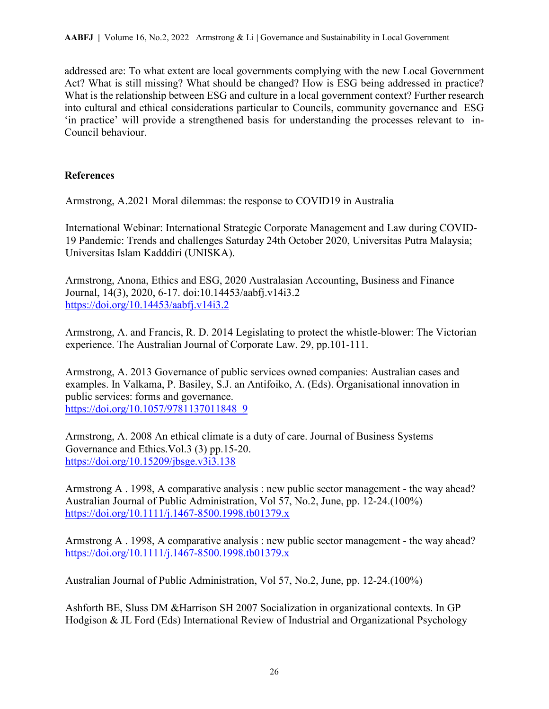addressed are: To what extent are local governments complying with the new Local Government Act? What is still missing? What should be changed? How is ESG being addressed in practice? What is the relationship between ESG and culture in a local government context? Further research into cultural and ethical considerations particular to Councils, community governance and ESG 'in practice' will provide a strengthened basis for understanding the processes relevant to in-Council behaviour.

## **References**

Armstrong, A.2021 Moral dilemmas: the response to COVID19 in Australia

International Webinar: International Strategic Corporate Management and Law during COVID-19 Pandemic: Trends and challenges Saturday 24th October 2020, Universitas Putra Malaysia; Universitas Islam Kadddiri (UNISKA).

Armstrong, Anona, Ethics and ESG, 2020 Australasian Accounting, Business and Finance Journal, 14(3), 2020, 6-17. doi:10.14453/aabfj.v14i3.2 <https://doi.org/10.14453/aabfj.v14i3.2>

Armstrong, A. and Francis, R. D. 2014 Legislating to protect the whistle-blower: The Victorian experience. The Australian Journal of Corporate Law. 29, pp.101-111.

Armstrong, A. 2013 Governance of public services owned companies: Australian cases and examples. In Valkama, P. Basiley, S.J. an Antifoiko, A. (Eds). Organisational innovation in public services: forms and governance. [https://doi.org/10.1057/9781137011848\\_9](https://doi.org/10.1057/9781137011848_9)

Armstrong, A. 2008 An ethical climate is a duty of care. Journal of Business Systems Governance and Ethics.Vol.3 (3) pp.15-20. <https://doi.org/10.15209/jbsge.v3i3.138>

Armstrong A . 1998, A comparative analysis : new public sector management - the way ahead? Australian Journal of Public Administration, Vol 57, No.2, June, pp. 12-24.(100%) <https://doi.org/10.1111/j.1467-8500.1998.tb01379.x>

Armstrong A . 1998, A comparative analysis : new public sector management - the way ahead? <https://doi.org/10.1111/j.1467-8500.1998.tb01379.x>

Australian Journal of Public Administration, Vol 57, No.2, June, pp. 12-24.(100%)

Ashforth BE, Sluss DM &Harrison SH 2007 Socialization in organizational contexts. In GP Hodgison & JL Ford (Eds) International Review of Industrial and Organizational Psychology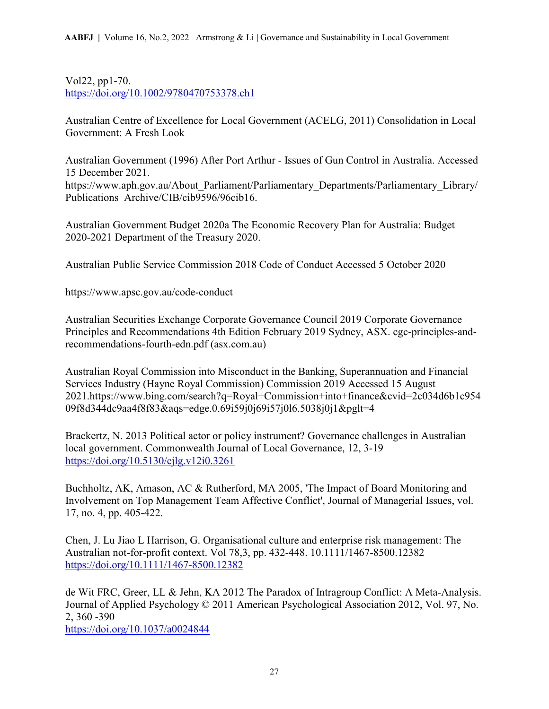Vol22, pp1-70. <https://doi.org/10.1002/9780470753378.ch1>

Australian Centre of Excellence for Local Government (ACELG, 2011) Consolidation in Local Government: A Fresh Look

Australian Government (1996) After Port Arthur - Issues of Gun Control in Australia. Accessed 15 December 2021. https://www.aph.gov.au/About\_Parliament/Parliamentary\_Departments/Parliamentary\_Library/ Publications\_Archive/CIB/cib9596/96cib16.

Australian Government Budget 2020a The Economic Recovery Plan for Australia: Budget 2020-2021 Department of the Treasury 2020.

Australian Public Service Commission 2018 Code of Conduct Accessed 5 October 2020

https://www.apsc.gov.au/code-conduct

Australian Securities Exchange Corporate Governance Council 2019 Corporate Governance Principles and Recommendations 4th Edition February 2019 Sydney, ASX. cgc-principles-andrecommendations-fourth-edn.pdf (asx.com.au)

Australian Royal Commission into Misconduct in the Banking, Superannuation and Financial Services Industry (Hayne Royal Commission) Commission 2019 Accessed 15 August 2021.https://www.bing.com/search?q=Royal+Commission+into+finance&cvid=2c034d6b1c954 09f8d344dc9aa4f8f83&aqs=edge.0.69i59j0j69i57j0l6.5038j0j1&pglt=4

Brackertz, N. 2013 Political actor or policy instrument? Governance challenges in Australian local government. Commonwealth Journal of Local Governance, 12, 3-19 <https://doi.org/10.5130/cjlg.v12i0.3261>

Buchholtz, AK, Amason, AC & Rutherford, MA 2005, 'The Impact of Board Monitoring and Involvement on Top Management Team Affective Conflict', Journal of Managerial Issues, vol. 17, no. 4, pp. 405-422.

Chen, J. Lu Jiao L Harrison, G. Organisational culture and enterprise risk management: The Australian not-for-profit context. Vol 78,3, pp. 432-448. 10.1111/1467-8500.12382 <https://doi.org/10.1111/1467-8500.12382>

de Wit FRC, Greer, LL & Jehn, KA 2012 The Paradox of Intragroup Conflict: A Meta-Analysis. Journal of Applied Psychology © 2011 American Psychological Association 2012, Vol. 97, No. 2, 360 -390

<https://doi.org/10.1037/a0024844>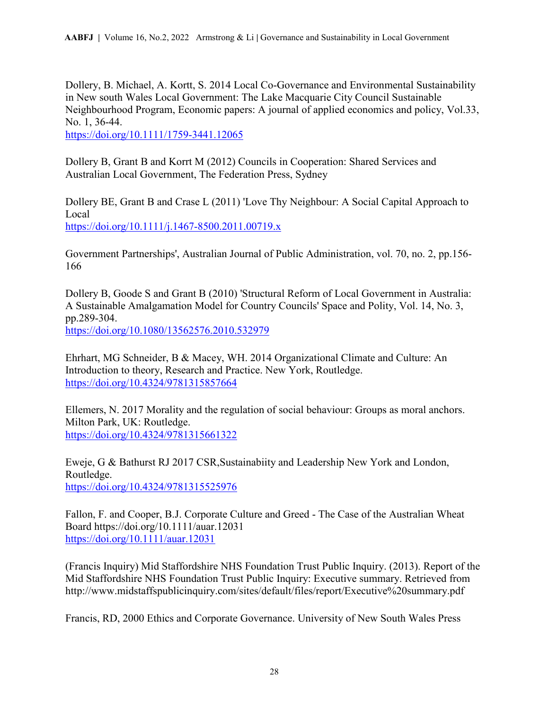Dollery, B. Michael, A. Kortt, S. 2014 Local Co-Governance and Environmental Sustainability in New south Wales Local Government: The Lake Macquarie City Council Sustainable Neighbourhood Program, Economic papers: A journal of applied economics and policy, Vol.33, No. 1, 36-44.

<https://doi.org/10.1111/1759-3441.12065>

Dollery B, Grant B and Korrt M (2012) Councils in Cooperation: Shared Services and Australian Local Government, The Federation Press, Sydney

Dollery BE, Grant B and Crase L (2011) 'Love Thy Neighbour: A Social Capital Approach to Local <https://doi.org/10.1111/j.1467-8500.2011.00719.x>

Government Partnerships', Australian Journal of Public Administration, vol. 70, no. 2, pp.156- 166

Dollery B, Goode S and Grant B (2010) 'Structural Reform of Local Government in Australia: A Sustainable Amalgamation Model for Country Councils' Space and Polity, Vol. 14, No. 3, pp.289-304.

<https://doi.org/10.1080/13562576.2010.532979>

Ehrhart, MG Schneider, B & Macey, WH. 2014 Organizational Climate and Culture: An Introduction to theory, Research and Practice. New York, Routledge. <https://doi.org/10.4324/9781315857664>

Ellemers, N. 2017 Morality and the regulation of social behaviour: Groups as moral anchors. Milton Park, UK: Routledge. <https://doi.org/10.4324/9781315661322>

Eweje, G & Bathurst RJ 2017 CSR,Sustainabiity and Leadership New York and London, Routledge. <https://doi.org/10.4324/9781315525976>

Fallon, F. and Cooper, B.J. Corporate Culture and Greed - The Case of the Australian Wheat Board https://doi.org/10.1111/auar.12031 <https://doi.org/10.1111/auar.12031>

(Francis Inquiry) Mid Staffordshire NHS Foundation Trust Public Inquiry. (2013). Report of the Mid Staffordshire NHS Foundation Trust Public Inquiry: Executive summary. Retrieved from http://www.midstaffspublicinquiry.com/sites/default/files/report/Executive%20summary.pdf

Francis, RD, 2000 Ethics and Corporate Governance. University of New South Wales Press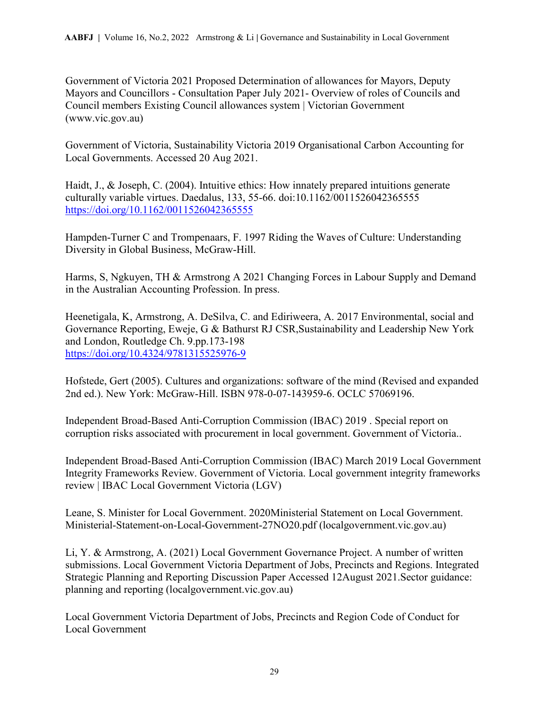Government of Victoria 2021 Proposed Determination of allowances for Mayors, Deputy Mayors and Councillors - Consultation Paper July 2021- Overview of roles of Councils and Council members Existing Council allowances system | Victorian Government (www.vic.gov.au)

Government of Victoria, Sustainability Victoria 2019 Organisational Carbon Accounting for Local Governments. Accessed 20 Aug 2021.

Haidt, J., & Joseph, C. (2004). Intuitive ethics: How innately prepared intuitions generate culturally variable virtues. Daedalus, 133, 55-66. doi:10.1162/0011526042365555 <https://doi.org/10.1162/0011526042365555>

Hampden-Turner C and Trompenaars, F. 1997 Riding the Waves of Culture: Understanding Diversity in Global Business, McGraw-Hill.

Harms, S, Ngkuyen, TH & Armstrong A 2021 Changing Forces in Labour Supply and Demand in the Australian Accounting Profession. In press.

Heenetigala, K, Armstrong, A. DeSilva, C. and Ediriweera, A. 2017 Environmental, social and Governance Reporting, Eweje, G & Bathurst RJ CSR,Sustainability and Leadership New York and London, Routledge Ch. 9.pp.173-198 <https://doi.org/10.4324/9781315525976-9>

Hofstede, Gert (2005). Cultures and organizations: software of the mind (Revised and expanded 2nd ed.). New York: McGraw-Hill. ISBN 978-0-07-143959-6. OCLC 57069196.

Independent Broad-Based Anti-Corruption Commission (IBAC) 2019 . Special report on corruption risks associated with procurement in local government. Government of Victoria..

Independent Broad-Based Anti-Corruption Commission (IBAC) March 2019 Local Government Integrity Frameworks Review. Government of Victoria. Local government integrity frameworks review | IBAC Local Government Victoria (LGV)

Leane, S. Minister for Local Government. 2020Ministerial Statement on Local Government. Ministerial-Statement-on-Local-Government-27NO20.pdf (localgovernment.vic.gov.au)

Li, Y. & Armstrong, A. (2021) Local Government Governance Project. A number of written submissions. Local Government Victoria Department of Jobs, Precincts and Regions. Integrated Strategic Planning and Reporting Discussion Paper Accessed 12August 2021.Sector guidance: planning and reporting (localgovernment.vic.gov.au)

Local Government Victoria Department of Jobs, Precincts and Region Code of Conduct for Local Government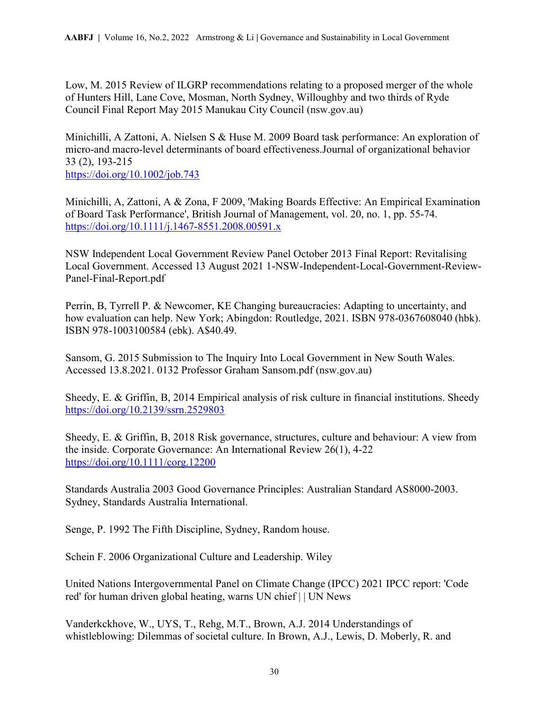Low, M. 2015 Review of ILGRP recommendations relating to a proposed merger of the whole of Hunters Hill, Lane Cove, Mosman, North Sydney, Willoughby and two thirds of Ryde Council Final Report May 2015 Manukau City Council (nsw.gov.au)

Minichilli, A Zattoni, A. Nielsen S & Huse M. 2009 Board task performance: An exploration of micro‐and macro‐level determinants of board effectiveness.Journal of organizational behavior 33 (2), 193-215

<https://doi.org/10.1002/job.743>

Minichilli, A, Zattoni, A & Zona, F 2009, 'Making Boards Effective: An Empirical Examination of Board Task Performance', British Journal of Management, vol. 20, no. 1, pp. 55-74. <https://doi.org/10.1111/j.1467-8551.2008.00591.x>

NSW Independent Local Government Review Panel October 2013 Final Report: Revitalising Local Government. Accessed 13 August 2021 1-NSW-Independent-Local-Government-Review-Panel-Final-Report.pdf

Perrin, B, Tyrrell P. & Newcomer, KE Changing bureaucracies: Adapting to uncertainty, and how evaluation can help. New York; Abingdon: Routledge, 2021. ISBN 978-0367608040 (hbk). ISBN 978-1003100584 (ebk). A\$40.49.

Sansom, G. 2015 Submission to The Inquiry Into Local Government in New South Wales. Accessed 13.8.2021. 0132 Professor Graham Sansom.pdf (nsw.gov.au)

Sheedy, E. & Griffin, B, 2014 Empirical analysis of risk culture in financial institutions. Sheedy <https://doi.org/10.2139/ssrn.2529803>

Sheedy, E. & Griffin, B, 2018 Risk governance, structures, culture and behaviour: A view from the inside. Corporate Governance: An International Review 26(1), 4-22 <https://doi.org/10.1111/corg.12200>

Standards Australia 2003 Good Governance Principles: Australian Standard AS8000-2003. Sydney, Standards Australia International.

Senge, P. 1992 The Fifth Discipline, Sydney, Random house.

Schein F. 2006 Organizational Culture and Leadership. Wiley

United Nations Intergovernmental Panel on Climate Change (IPCC) 2021 IPCC report: 'Code red' for human driven global heating, warns UN chief | | UN News

Vanderkckhove, W., UYS, T., Rehg, M.T., Brown, A.J. 2014 Understandings of whistleblowing: Dilemmas of societal culture. In Brown, A.J., Lewis, D. Moberly, R. and